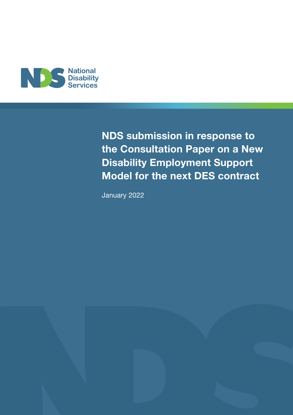

NDS submission in response to the Consultation Paper on a New Disability Employment Support Model for the next DES contract

January 2022

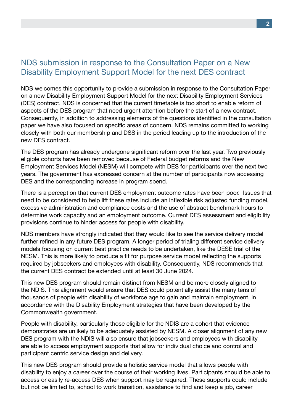### NDS submission in response to the Consultation Paper on a New Disability Employment Support Model for the next DES contract

NDS welcomes this opportunity to provide a submission in response to the Consultation Paper on a new Disability Employment Support Model for the next Disability Employment Services (DES) contract. NDS is concerned that the current timetable is too short to enable reform of aspects of the DES program that need urgent attention before the start of a new contract. Consequently, in addition to addressing elements of the questions identified in the consultation paper we have also focused on specific areas of concern. NDS remains committed to working closely with both our membership and DSS in the period leading up to the introduction of the new DES contract.

The DES program has already undergone significant reform over the last year. Two previously eligible cohorts have been removed because of Federal budget reforms and the New Employment Services Model (NESM) will compete with DES for participants over the next two years. The government has expressed concern at the number of participants now accessing DES and the corresponding increase in program spend.

There is a perception that current DES employment outcome rates have been poor. Issues that need to be considered to help lift these rates include an inflexible risk adjusted funding model, excessive administration and compliance costs and the use of abstract benchmark hours to determine work capacity and an employment outcome. Current DES assessment and eligibility provisions continue to hinder access for people with disability.

NDS members have strongly indicated that they would like to see the service delivery model further refined in any future DES program. A longer period of trialing different service delivery models focusing on current best practice needs to be undertaken, like the DESE trial of the NESM. This is more likely to produce a fit for purpose service model reflecting the supports required by jobseekers and employees with disability. Consequently, NDS recommends that the current DES contract be extended until at least 30 June 2024.

This new DES program should remain distinct from NESM and be more closely aligned to the NDIS. This alignment would ensure that DES could potentially assist the many tens of thousands of people with disability of workforce age to gain and maintain employment, in accordance with the Disability Employment strategies that have been developed by the Commonwealth government.

People with disability, particularly those eligible for the NDIS are a cohort that evidence demonstrates are unlikely to be adequately assisted by NESM. A closer alignment of any new DES program with the NDIS will also ensure that jobseekers and employees with disability are able to access employment supports that allow for individual choice and control and participant centric service design and delivery.

This new DES program should provide a holistic service model that allows people with disability to enjoy a career over the course of their working lives. Participants should be able to access or easily re-access DES when support may be required. These supports could include but not be limited to, school to work transition, assistance to find and keep a job, career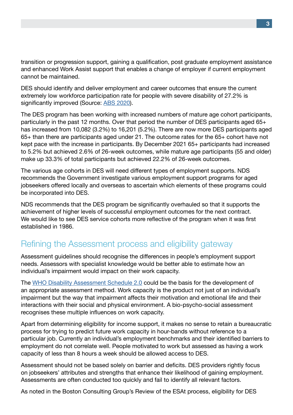transition or progression support, gaining a qualification, post graduate employment assistance and enhanced Work Assist support that enables a change of employer if current employment cannot be maintained.

DES should identify and deliver employment and career outcomes that ensure the current extremely low workforce participation rate for people with severe disability of 27.2% is significantly improved (Source: [ABS 2020](https://www.abs.gov.au/articles/disability-and-labour-force#data-download)).

The DES program has been working with increased numbers of mature age cohort participants, particularly in the past 12 months. Over that period the number of DES participants aged 65+ has increased from 10,082 (3.2%) to 16,201 (5.2%). There are now more DES participants aged 65+ than there are participants aged under 21. The outcome rates for the 65+ cohort have not kept pace with the increase in participants. By December 2021 65+ participants had increased to 5.2% but achieved 2.6% of 26-week outcomes, while mature age participants (55 and older) make up 33.3% of total participants but achieved 22.2% of 26-week outcomes.

The various age cohorts in DES will need different types of employment supports. NDS recommends the Government investigate various employment support programs for aged jobseekers offered locally and overseas to ascertain which elements of these programs could be incorporated into DES.

NDS recommends that the DES program be significantly overhauled so that it supports the achievement of higher levels of successful employment outcomes for the next contract. We would like to see DES service cohorts more reflective of the program when it was first established in 1986.

## Refining the Assessment process and eligibility gateway

Assessment guidelines should recognise the differences in people's employment support needs. Assessors with specialist knowledge would be better able to estimate how an individual's impairment would impact on their work capacity.

The [WHO Disability Assessment Schedule 2.0](http://www.who.int/classifications/icf/whodasii/en/) could be the basis for the development of an appropriate assessment method. Work capacity is the product not just of an individual's impairment but the way that impairment affects their motivation and emotional life and their interactions with their social and physical environment. A bio-psycho-social assessment recognises these multiple influences on work capacity.

Apart from determining eligibility for income support, it makes no sense to retain a bureaucratic process for trying to predict future work capacity in hour-bands without reference to a particular job. Currently an individual's employment benchmarks and their identified barriers to employment do not correlate well. People motivated to work but assessed as having a work capacity of less than 8 hours a week should be allowed access to DES.

Assessment should not be based solely on barrier and deficits. DES providers rightly focus on jobseekers' attributes and strengths that enhance their likelihood of gaining employment. Assessments are often conducted too quickly and fail to identify all relevant factors.

As noted in the Boston Consulting Group's Review of the ESAt process, eligibility for DES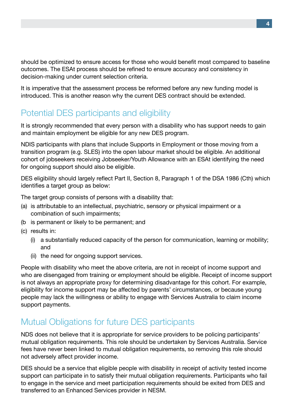should be optimized to ensure access for those who would benefit most compared to baseline outcomes. The ESAt process should be refined to ensure accuracy and consistency in decision-making under current selection criteria.

It is imperative that the assessment process be reformed before any new funding model is introduced. This is another reason why the current DES contract should be extended.

## Potential DES participants and eligibility

It is strongly recommended that every person with a disability who has support needs to gain and maintain employment be eligible for any new DES program.

NDIS participants with plans that include Supports in Employment or those moving from a transition program (e.g. SLES) into the open labour market should be eligible. An additional cohort of jobseekers receiving Jobseeker/Youth Allowance with an ESAt identifying the need for ongoing support should also be eligible.

DES eligibility should largely reflect Part II, Section 8, Paragraph 1 of the DSA 1986 (Cth) which identifies a target group as below:

The target group consists of persons with a disability that:

- (a) is attributable to an intellectual, psychiatric, sensory or physical impairment or a combination of such impairments;
- (b is permanent or likely to be permanent; and
- (c) results in:
	- (i) a substantially reduced capacity of the person for communication, learning or mobility; and
	- (ii) the need for ongoing support services.

People with disability who meet the above criteria, are not in receipt of income support and who are disengaged from training or employment should be eligible. Receipt of income support is not always an appropriate proxy for determining disadvantage for this cohort. For example, eligibility for income support may be affected by parents' circumstances, or because young people may lack the willingness or ability to engage with Services Australia to claim income support payments.

## Mutual Obligations for future DES participants

NDS does not believe that it is appropriate for service providers to be policing participants' mutual obligation requirements. This role should be undertaken by Services Australia. Service fees have never been linked to mutual obligation requirements, so removing this role should not adversely affect provider income.

DES should be a service that eligible people with disability in receipt of activity tested income support can participate in to satisfy their mutual obligation requirements. Participants who fail to engage in the service and meet participation requirements should be exited from DES and transferred to an Enhanced Services provider in NESM.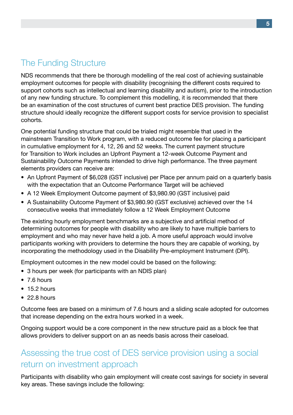## The Funding Structure

NDS recommends that there be thorough modelling of the real cost of achieving sustainable employment outcomes for people with disability (recognising the different costs required to support cohorts such as intellectual and learning disability and autism), prior to the introduction of any new funding structure. To complement this modelling, it is recommended that there be an examination of the cost structures of current best practice DES provision. The funding structure should ideally recognize the different support costs for service provision to specialist cohorts.

One potential funding structure that could be trialed might resemble that used in the mainstream Transition to Work program, with a reduced outcome fee for placing a participant in cumulative employment for 4, 12, 26 and 52 weeks. The current payment structure for Transition to Work includes an Upfront Payment a 12-week Outcome Payment and Sustainability Outcome Payments intended to drive high performance. The three payment elements providers can receive are:

- An Upfront Payment of \$6,028 (GST inclusive) per Place per annum paid on a quarterly basis with the expectation that an Outcome Performance Target will be achieved
- A 12 Week Employment Outcome payment of \$3,980.90 (GST inclusive) paid
- A Sustainability Outcome Payment of \$3,980.90 (GST exclusive) achieved over the 14 consecutive weeks that immediately follow a 12 Week Employment Outcome

The existing hourly employment benchmarks are a subjective and artificial method of determining outcomes for people with disability who are likely to have multiple barriers to employment and who may never have held a job. A more useful approach would involve participants working with providers to determine the hours they are capable of working, by incorporating the methodology used in the Disability Pre-employment Instrument (DPI).

Employment outcomes in the new model could be based on the following:

- 3 hours per week (for participants with an NDIS plan)
- 7.6 hours
- 15.2 hours
- 22.8 hours

Outcome fees are based on a minimum of 7.6 hours and a sliding scale adopted for outcomes that increase depending on the extra hours worked in a week.

Ongoing support would be a core component in the new structure paid as a block fee that allows providers to deliver support on an as needs basis across their caseload.

## Assessing the true cost of DES service provision using a social return on investment approach

Participants with disability who gain employment will create cost savings for society in several key areas. These savings include the following: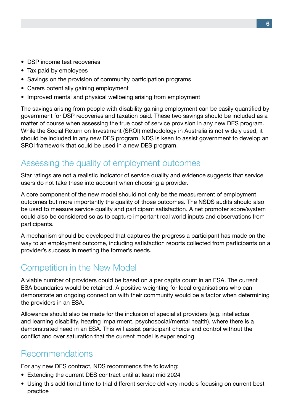- DSP income test recoveries
- Tax paid by employees
- Savings on the provision of community participation programs
- Carers potentially gaining employment
- Improved mental and physical wellbeing arising from employment

The savings arising from people with disability gaining employment can be easily quantified by government for DSP recoveries and taxation paid. These two savings should be included as a matter of course when assessing the true cost of service provision in any new DES program. While the Social Return on Investment (SROI) methodology in Australia is not widely used, it should be included in any new DES program. NDS is keen to assist government to develop an SROI framework that could be used in a new DES program.

### Assessing the quality of employment outcomes

Star ratings are not a realistic indicator of service quality and evidence suggests that service users do not take these into account when choosing a provider.

A core component of the new model should not only be the measurement of employment outcomes but more importantly the quality of those outcomes. The NSDS audits should also be used to measure service quality and participant satisfaction. A net promoter score/system could also be considered so as to capture important real world inputs and observations from participants.

A mechanism should be developed that captures the progress a participant has made on the way to an employment outcome, including satisfaction reports collected from participants on a provider's success in meeting the former's needs.

# Competition in the New Model

A viable number of providers could be based on a per capita count in an ESA. The current ESA boundaries would be retained. A positive weighting for local organisations who can demonstrate an ongoing connection with their community would be a factor when determining the providers in an ESA.

Allowance should also be made for the inclusion of specialist providers (e.g. intellectual and learning disability, hearing impairment, psychosocial/mental health), where there is a demonstrated need in an ESA. This will assist participant choice and control without the conflict and over saturation that the current model is experiencing.

### Recommendations

For any new DES contract, NDS recommends the following:

- Extending the current DES contract until at least mid 2024
- Using this additional time to trial different service delivery models focusing on current best practice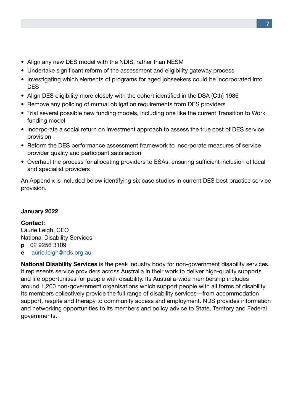- Align any new DES model with the NDIS, rather than NESM
- Undertake significant reform of the assessment and eligibility gateway process
- Investigating which elements of programs for aged jobseekers could be incorporated into **DES**
- Align DES eligibility more closely with the cohort identified in the DSA (Cth) 1986
- Remove any policing of mutual obligation requirements from DES providers
- Trial several possible new funding models, including one like the current Transition to Work funding model
- Incorporate a social return on investment approach to assess the true cost of DES service provision
- Reform the DES performance assessment framework to incorporate measures of service provider quality and participant satisfaction
- Overhaul the process for allocating providers to ESAs, ensuring sufficient inclusion of local and specialist providers

An Appendix is included below identifying six case studies in current DES best practice service provision.

#### January 2022

Contact: Laurie Leigh, CEO National Disability Services p 02 9256 3109 e [laurie.leigh@nds.org.au](mailto:laurie.leigh@nds.org.au)

National Disability Services is the peak industry body for non-government disability services. It represents service providers across Australia in their work to deliver high-quality supports and life opportunities for people with disability. Its Australia-wide membership includes around 1,200 non-government organisations which support people with all forms of disability. Its members collectively provide the full range of disability services—from accommodation support, respite and therapy to community access and employment. NDS provides information and networking opportunities to its members and policy advice to State, Territory and Federal governments.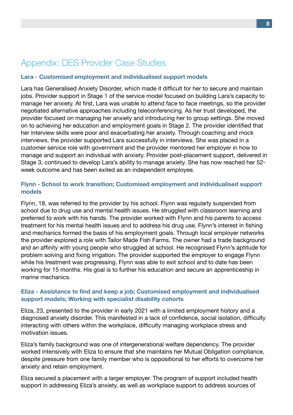## Appendix: DES Provider Case Studies

#### Lara - Customised employment and individualised support models

Lara has Generalised Anxiety Disorder, which made it difficult for her to secure and maintain jobs. Provider support in Stage 1 of the service model focused on building Lara's capacity to manage her anxiety. At first, Lara was unable to attend face to face meetings, so the provider negotiated alternative approaches including teleconferencing. As her trust developed, the provider focused on managing her anxiety and introducing her to group settings. She moved on to achieving her education and employment goals in Stage 2. The provider identified that her interview skills were poor and exacerbating her anxiety. Through coaching and mock interviews, the provider supported Lara successfully in interviews. She was placed in a customer service role with government and the provider mentored her employer in how to manage and support an individual with anxiety. Provider post-placement support, delivered in Stage 3, continued to develop Lara's ability to manage anxiety. She has now reached her 52 week outcome and has been exited as an independent employee.

#### Flynn - School to work transition; Customised employment and individualised support models

Flynn, 18, was referred to the provider by his school. Flynn was regularly suspended from school due to drug use and mental health issues. He struggled with classroom learning and preferred to work with his hands. The provider worked with Flynn and his parents to access treatment for his mental health issues and to address his drug use. Flynn's interest in fishing and mechanics formed the basis of his employment goals. Through local employer networks the provider explored a role with Tailor Made Fish Farms. The owner had a trade background and an affinity with young people who struggled at school. He recognised Flynn's aptitude for problem solving and fixing irrigation. The provider supported the employer to engage Flynn while his treatment was progressing. Flynn was able to exit school and to date has been working for 15 months. His goal is to further his education and secure an apprenticeship in marine mechanics.

#### Eliza - Assistance to find and keep a job; Customised employment and individualised support models; Working with specialist disability cohorts

Eliza, 23, presented to the provider in early 2021 with a limited employment history and a diagnosed anxiety disorder. This manifested in a lack of confidence, social isolation, difficulty interacting with others within the workplace, difficulty managing workplace stress and motivation issues.

Eliza's family background was one of intergenerational welfare dependency. The provider worked intensively with Eliza to ensure that she maintains her Mutual Obligation compliance, despite pressure from one family member who is oppositional to her efforts to overcome her anxiety and retain employment.

Eliza secured a placement with a larger employer. The program of support included health support in addressing Eliza's anxiety, as well as workplace support to address sources of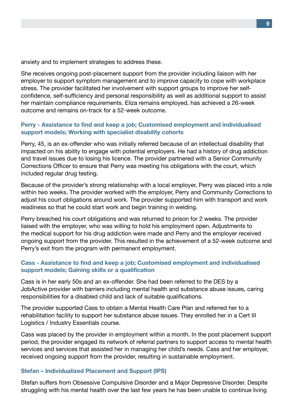anxiety and to implement strategies to address these.

She receives ongoing post-placement support from the provider including liaison with her employer to support symptom management and to improve capacity to cope with workplace stress. The provider facilitated her involvement with support groups to improve her selfconfidence, self-sufficiency and personal responsibility as well as additional support to assist her maintain compliance requirements. Eliza remains employed, has achieved a 26-week outcome and remains on-track for a 52-week outcome.

#### Perry - Assistance to find and keep a job; Customised employment and individualised support models; Working with specialist disability cohorts

Perry, 45, is an ex-offender who was initially referred because of an intellectual disability that impacted on his ability to engage with potential employers. He had a history of drug addiction and travel issues due to losing his licence. The provider partnered with a Senior Community Corrections Officer to ensure that Perry was meeting his obligations with the court, which included regular drug testing.

Because of the provider's strong relationship with a local employer, Perry was placed into a role within two weeks. The provider worked with the employer, Perry and Community Corrections to adjust his court obligations around work. The provider supported him with transport and work readiness so that he could start work and begin training in welding.

Perry breached his court obligations and was returned to prison for 2 weeks. The provider liaised with the employer, who was willing to hold his employment open. Adjustments to the medical support for his drug addiction were made and Perry and the employer received ongoing support from the provider. This resulted in the achievement of a 52-week outcome and Perry's exit from the program with permanent employment.

#### Cass - Assistance to find and keep a job; Customised employment and individualised support models; Gaining skills or a qualification

Cass is in her early 50s and an ex-offender. She had been referred to the DES by a JobActive provider with barriers including mental health and substance abuse issues, caring responsibilities for a disabled child and lack of suitable qualifications.

The provider supported Cass to obtain a Mental Health Care Plan and referred her to a rehabilitation facility to support her substance abuse issues. They enrolled her in a Cert III Logistics / Industry Essentials course.

Cass was placed by the provider in employment within a month. In the post placement support period, the provider engaged its network of referral partners to support access to mental health services and services that assisted her in managing her child's needs. Cass and her employer, received ongoing support from the provider, resulting in sustainable employment.

#### Stefan – Individualized Placement and Support (IPS)

Stefan suffers from Obsessive Compulsive Disorder and a Major Depressive Disorder. Despite struggling with his mental health over the last few years he has been unable to continue living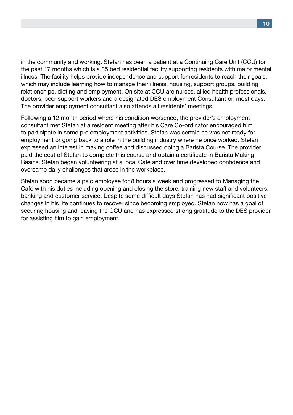in the community and working. Stefan has been a patient at a Continuing Care Unit (CCU) for the past 17 months which is a 35 bed residential facility supporting residents with major mental illness. The facility helps provide independence and support for residents to reach their goals, which may include learning how to manage their illness, housing, support groups, building relationships, dieting and employment. On site at CCU are nurses, allied health professionals, doctors, peer support workers and a designated DES employment Consultant on most days. The provider employment consultant also attends all residents' meetings.

Following a 12 month period where his condition worsened, the provider's employment consultant met Stefan at a resident meeting after his Care Co-ordinator encouraged him to participate in some pre employment activities. Stefan was certain he was not ready for employment or going back to a role in the building industry where he once worked. Stefan expressed an interest in making coffee and discussed doing a Barista Course. The provider paid the cost of Stefan to complete this course and obtain a certificate in Barista Making Basics. Stefan began volunteering at a local Café and over time developed confidence and overcame daily challenges that arose in the workplace.

Stefan soon became a paid employee for 8 hours a week and progressed to Managing the Café with his duties including opening and closing the store, training new staff and volunteers, banking and customer service. Despite some difficult days Stefan has had significant positive changes in his life continues to recover since becoming employed. Stefan now has a goal of securing housing and leaving the CCU and has expressed strong gratitude to the DES provider for assisting him to gain employment.